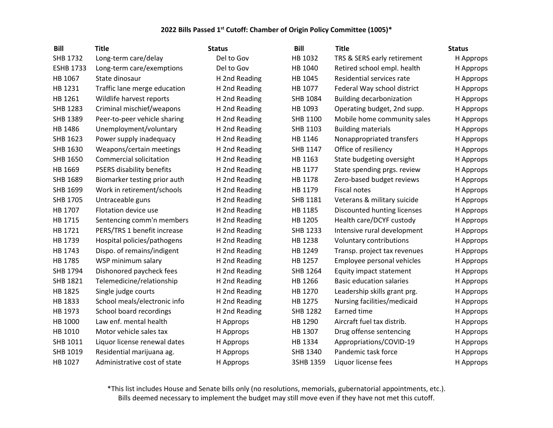| <b>Bill</b>      | <b>Title</b>                     | <b>Status</b> | <b>Bill</b>     | <b>Title</b>                    | <b>Status</b> |
|------------------|----------------------------------|---------------|-----------------|---------------------------------|---------------|
| SHB 1732         | Long-term care/delay             | Del to Gov    | HB 1032         | TRS & SERS early retirement     | H Approps     |
| <b>ESHB 1733</b> | Long-term care/exemptions        | Del to Gov    | HB 1040         | Retired school empl. health     | H Approps     |
| HB 1067          | State dinosaur                   | H 2nd Reading | HB 1045         | Residential services rate       | H Approps     |
| HB 1231          | Traffic lane merge education     | H 2nd Reading | HB 1077         | Federal Way school district     | H Approps     |
| HB 1261          | Wildlife harvest reports         | H 2nd Reading | SHB 1084        | <b>Building decarbonization</b> | H Approps     |
| SHB 1283         | Criminal mischief/weapons        | H 2nd Reading | HB 1093         | Operating budget, 2nd supp.     | H Approps     |
| SHB 1389         | Peer-to-peer vehicle sharing     | H 2nd Reading | SHB 1100        | Mobile home community sales     | H Approps     |
| HB 1486          | Unemployment/voluntary           | H 2nd Reading | SHB 1103        | <b>Building materials</b>       | H Approps     |
| SHB 1623         | Power supply inadequacy          | H 2nd Reading | HB 1146         | Nonappropriated transfers       | H Approps     |
| SHB 1630         | Weapons/certain meetings         | H 2nd Reading | SHB 1147        | Office of resiliency            | H Approps     |
| SHB 1650         | Commercial solicitation          | H 2nd Reading | HB 1163         | State budgeting oversight       | H Approps     |
| HB 1669          | <b>PSERS disability benefits</b> | H 2nd Reading | HB 1177         | State spending prgs. review     | H Approps     |
| SHB 1689         | Biomarker testing prior auth     | H 2nd Reading | HB 1178         | Zero-based budget reviews       | H Approps     |
| SHB 1699         | Work in retirement/schools       | H 2nd Reading | HB 1179         | <b>Fiscal notes</b>             | H Approps     |
| <b>SHB 1705</b>  | Untraceable guns                 | H 2nd Reading | SHB 1181        | Veterans & military suicide     | H Approps     |
| HB 1707          | Flotation device use             | H 2nd Reading | HB 1185         | Discounted hunting licenses     | H Approps     |
| HB 1715          | Sentencing comm'n members        | H 2nd Reading | HB 1205         | Health care/DCYF custody        | H Approps     |
| HB 1721          | PERS/TRS 1 benefit increase      | H 2nd Reading | SHB 1233        | Intensive rural development     | H Approps     |
| HB 1739          | Hospital policies/pathogens      | H 2nd Reading | HB 1238         | Voluntary contributions         | H Approps     |
| HB 1743          | Dispo. of remains/indigent       | H 2nd Reading | HB 1249         | Transp. project tax revenues    | H Approps     |
| HB 1785          | WSP minimum salary               | H 2nd Reading | HB 1257         | Employee personal vehicles      | H Approps     |
| SHB 1794         | Dishonored paycheck fees         | H 2nd Reading | SHB 1264        | Equity impact statement         | H Approps     |
| SHB 1821         | Telemedicine/relationship        | H 2nd Reading | HB 1266         | <b>Basic education salaries</b> | H Approps     |
| HB 1825          | Single judge courts              | H 2nd Reading | HB 1270         | Leadership skills grant prg.    | H Approps     |
| HB 1833          | School meals/electronic info     | H 2nd Reading | HB 1275         | Nursing facilities/medicaid     | H Approps     |
| HB 1973          | School board recordings          | H 2nd Reading | <b>SHB 1282</b> | Earned time                     | H Approps     |
| HB 1000          | Law enf. mental health           | H Approps     | HB 1290         | Aircraft fuel tax distrib.      | H Approps     |
| HB 1010          | Motor vehicle sales tax          | H Approps     | HB 1307         | Drug offense sentencing         | H Approps     |
| SHB 1011         | Liquor license renewal dates     | H Approps     | HB 1334         | Appropriations/COVID-19         | H Approps     |
| SHB 1019         | Residential marijuana ag.        | H Approps     | SHB 1340        | Pandemic task force             | H Approps     |
| HB 1027          | Administrative cost of state     | H Approps     | 3SHB 1359       | Liquor license fees             | H Approps     |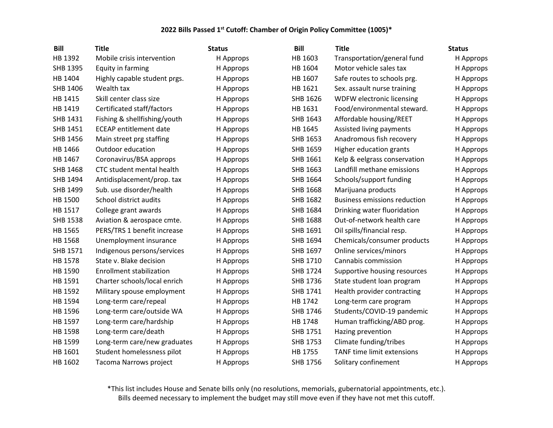| <b>Bill</b>     | <b>Title</b>                     | <b>Status</b> | <b>Bill</b>     | <b>Title</b>                        | <b>Status</b> |
|-----------------|----------------------------------|---------------|-----------------|-------------------------------------|---------------|
| HB 1392         | Mobile crisis intervention       | H Approps     | HB 1603         | Transportation/general fund         | H Approps     |
| SHB 1395        | Equity in farming                | H Approps     | HB 1604         | Motor vehicle sales tax             | H Approps     |
| HB 1404         | Highly capable student prgs.     | H Approps     | HB 1607         | Safe routes to schools prg.         | H Approps     |
| SHB 1406        | Wealth tax                       | H Approps     | HB 1621         | Sex. assault nurse training         | H Approps     |
| HB 1415         | Skill center class size          | H Approps     | SHB 1626        | WDFW electronic licensing           | H Approps     |
| HB 1419         | Certificated staff/factors       | H Approps     | HB 1631         | Food/environmental steward.         | H Approps     |
| SHB 1431        | Fishing & shellfishing/youth     | H Approps     | SHB 1643        | Affordable housing/REET             | H Approps     |
| SHB 1451        | <b>ECEAP</b> entitlement date    | H Approps     | HB 1645         | Assisted living payments            | H Approps     |
| SHB 1456        | Main street prg staffing         | H Approps     | SHB 1653        | Anadromous fish recovery            | H Approps     |
| HB 1466         | Outdoor education                | H Approps     | SHB 1659        | Higher education grants             | H Approps     |
| HB 1467         | Coronavirus/BSA approps          | H Approps     | SHB 1661        | Kelp & eelgrass conservation        | H Approps     |
| SHB 1468        | <b>CTC student mental health</b> | H Approps     | SHB 1663        | Landfill methane emissions          | H Approps     |
| SHB 1494        | Antidisplacement/prop. tax       | H Approps     | SHB 1664        | Schools/support funding             | H Approps     |
| SHB 1499        | Sub. use disorder/health         | H Approps     | SHB 1668        | Marijuana products                  | H Approps     |
| HB 1500         | School district audits           | H Approps     | SHB 1682        | <b>Business emissions reduction</b> | H Approps     |
| HB 1517         | College grant awards             | H Approps     | SHB 1684        | Drinking water fluoridation         | H Approps     |
| <b>SHB 1538</b> | Aviation & aerospace cmte.       | H Approps     | <b>SHB 1688</b> | Out-of-network health care          | H Approps     |
| HB 1565         | PERS/TRS 1 benefit increase      | H Approps     | SHB 1691        | Oil spills/financial resp.          | H Approps     |
| HB 1568         | Unemployment insurance           | H Approps     | SHB 1694        | Chemicals/consumer products         | H Approps     |
| SHB 1571        | Indigenous persons/services      | H Approps     | SHB 1697        | Online services/minors              | H Approps     |
| HB 1578         | State v. Blake decision          | H Approps     | SHB 1710        | Cannabis commission                 | H Approps     |
| HB 1590         | <b>Enrollment stabilization</b>  | H Approps     | SHB 1724        | Supportive housing resources        | H Approps     |
| HB 1591         | Charter schools/local enrich     | H Approps     | SHB 1736        | State student loan program          | H Approps     |
| HB 1592         | Military spouse employment       | H Approps     | SHB 1741        | Health provider contracting         | H Approps     |
| HB 1594         | Long-term care/repeal            | H Approps     | HB 1742         | Long-term care program              | H Approps     |
| HB 1596         | Long-term care/outside WA        | H Approps     | SHB 1746        | Students/COVID-19 pandemic          | H Approps     |
| HB 1597         | Long-term care/hardship          | H Approps     | HB 1748         | Human trafficking/ABD prog.         | H Approps     |
| HB 1598         | Long-term care/death             | H Approps     | SHB 1751        | Hazing prevention                   | H Approps     |
| HB 1599         | Long-term care/new graduates     | H Approps     | SHB 1753        | Climate funding/tribes              | H Approps     |
| HB 1601         | Student homelessness pilot       | H Approps     | HB 1755         | <b>TANF time limit extensions</b>   | H Approps     |
| HB 1602         | Tacoma Narrows project           | H Approps     | <b>SHB 1756</b> | Solitary confinement                | H Approps     |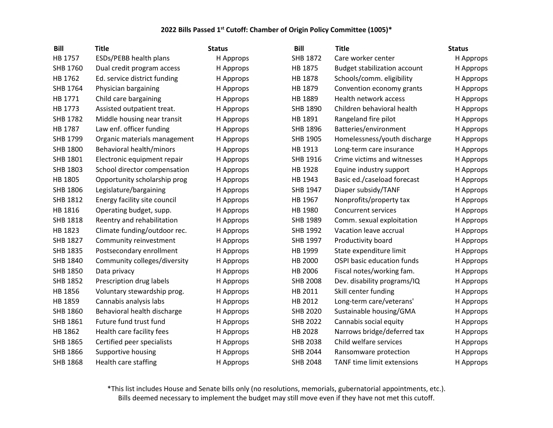| <b>Bill</b>     | <b>Title</b>                 | <b>Status</b> | <b>Bill</b>     | <b>Title</b>                        | <b>Status</b> |
|-----------------|------------------------------|---------------|-----------------|-------------------------------------|---------------|
| HB 1757         | ESDs/PEBB health plans       | H Approps     | SHB 1872        | Care worker center                  | H Approps     |
| SHB 1760        | Dual credit program access   | H Approps     | HB 1875         | <b>Budget stabilization account</b> | H Approps     |
| HB 1762         | Ed. service district funding | H Approps     | HB 1878         | Schools/comm. eligibility           | H Approps     |
| SHB 1764        | Physician bargaining         | H Approps     | HB 1879         | Convention economy grants           | H Approps     |
| HB 1771         | Child care bargaining        | H Approps     | HB 1889         | Health network access               | H Approps     |
| HB 1773         | Assisted outpatient treat.   | H Approps     | SHB 1890        | Children behavioral health          | H Approps     |
| SHB 1782        | Middle housing near transit  | H Approps     | HB 1891         | Rangeland fire pilot                | H Approps     |
| HB 1787         | Law enf. officer funding     | H Approps     | SHB 1896        | Batteries/environment               | H Approps     |
| SHB 1799        | Organic materials management | H Approps     | SHB 1905        | Homelessness/youth discharge        | H Approps     |
| <b>SHB 1800</b> | Behavioral health/minors     | H Approps     | HB 1913         | Long-term care insurance            | H Approps     |
| SHB 1801        | Electronic equipment repair  | H Approps     | SHB 1916        | Crime victims and witnesses         | H Approps     |
| <b>SHB 1803</b> | School director compensation | H Approps     | HB 1928         | Equine industry support             | H Approps     |
| HB 1805         | Opportunity scholarship prog | H Approps     | HB 1943         | Basic ed./caseload forecast         | H Approps     |
| SHB 1806        | Legislature/bargaining       | H Approps     | SHB 1947        | Diaper subsidy/TANF                 | H Approps     |
| SHB 1812        | Energy facility site council | H Approps     | HB 1967         | Nonprofits/property tax             | H Approps     |
| HB 1816         | Operating budget, supp.      | H Approps     | HB 1980         | <b>Concurrent services</b>          | H Approps     |
| <b>SHB 1818</b> | Reentry and rehabilitation   | H Approps     | SHB 1989        | Comm. sexual exploitation           | H Approps     |
| HB 1823         | Climate funding/outdoor rec. | H Approps     | SHB 1992        | Vacation leave accrual              | H Approps     |
| SHB 1827        | Community reinvestment       | H Approps     | SHB 1997        | Productivity board                  | H Approps     |
| <b>SHB 1835</b> | Postsecondary enrollment     | H Approps     | HB 1999         | State expenditure limit             | H Approps     |
| SHB 1840        | Community colleges/diversity | H Approps     | HB 2000         | OSPI basic education funds          | H Approps     |
| SHB 1850        | Data privacy                 | H Approps     | HB 2006         | Fiscal notes/working fam.           | H Approps     |
| <b>SHB 1852</b> | Prescription drug labels     | H Approps     | <b>SHB 2008</b> | Dev. disability programs/IQ         | H Approps     |
| HB 1856         | Voluntary stewardship prog.  | H Approps     | HB 2011         | Skill center funding                | H Approps     |
| HB 1859         | Cannabis analysis labs       | H Approps     | HB 2012         | Long-term care/veterans'            | H Approps     |
| <b>SHB 1860</b> | Behavioral health discharge  | H Approps     | <b>SHB 2020</b> | Sustainable housing/GMA             | H Approps     |
| SHB 1861        | Future fund trust fund       | H Approps     | <b>SHB 2022</b> | Cannabis social equity              | H Approps     |
| HB 1862         | Health care facility fees    | H Approps     | HB 2028         | Narrows bridge/deferred tax         | H Approps     |
| <b>SHB 1865</b> | Certified peer specialists   | H Approps     | <b>SHB 2038</b> | Child welfare services              | H Approps     |
| SHB 1866        | Supportive housing           | H Approps     | <b>SHB 2044</b> | Ransomware protection               | H Approps     |
| <b>SHB 1868</b> | Health care staffing         | H Approps     | <b>SHB 2048</b> | <b>TANF</b> time limit extensions   | H Approps     |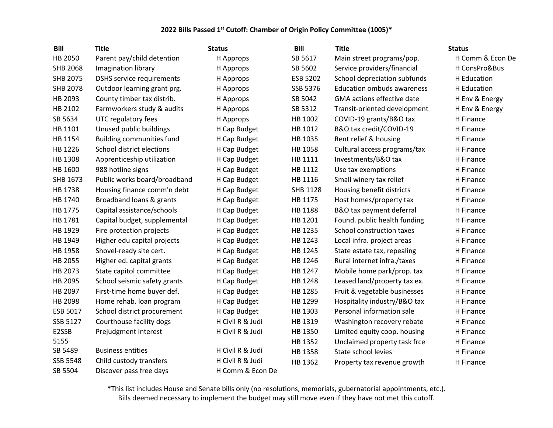| <b>Bill</b>     | <b>Title</b>                     | <b>Status</b>    | <b>Bill</b> | <b>Title</b>                      | <b>Status</b>    |
|-----------------|----------------------------------|------------------|-------------|-----------------------------------|------------------|
| HB 2050         | Parent pay/child detention       | H Approps        | SB 5617     | Main street programs/pop.         | H Comm & Econ De |
| <b>SHB 2068</b> | Imagination library              | H Approps        | SB 5602     | Service providers/financial       | H ConsPro&Bus    |
| <b>SHB 2075</b> | <b>DSHS service requirements</b> | H Approps        | ESB 5202    | School depreciation subfunds      | H Education      |
| <b>SHB 2078</b> | Outdoor learning grant prg.      | H Approps        | SSB 5376    | <b>Education ombuds awareness</b> | H Education      |
| HB 2093         | County timber tax distrib.       | H Approps        | SB 5042     | <b>GMA</b> actions effective date | H Env & Energy   |
| HB 2102         | Farmworkers study & audits       | H Approps        | SB 5312     | Transit-oriented development      | H Env & Energy   |
| SB 5634         | UTC regulatory fees              | H Approps        | HB 1002     | COVID-19 grants/B&O tax           | H Finance        |
| HB 1101         | Unused public buildings          | H Cap Budget     | HB 1012     | B&O tax credit/COVID-19           | H Finance        |
| HB 1154         | <b>Building communities fund</b> | H Cap Budget     | HB 1035     | Rent relief & housing             | H Finance        |
| HB 1226         | School district elections        | H Cap Budget     | HB 1058     | Cultural access programs/tax      | H Finance        |
| HB 1308         | Apprenticeship utilization       | H Cap Budget     | HB 1111     | Investments/B&O tax               | H Finance        |
| HB 1600         | 988 hotline signs                | H Cap Budget     | HB 1112     | Use tax exemptions                | H Finance        |
| SHB 1673        | Public works board/broadband     | H Cap Budget     | HB 1116     | Small winery tax relief           | H Finance        |
| HB 1738         | Housing finance comm'n debt      | H Cap Budget     | SHB 1128    | Housing benefit districts         | H Finance        |
| HB 1740         | Broadband loans & grants         | H Cap Budget     | HB 1175     | Host homes/property tax           | H Finance        |
| HB 1775         | Capital assistance/schools       | H Cap Budget     | HB 1188     | B&O tax payment deferral          | H Finance        |
| HB 1781         | Capital budget, supplemental     | H Cap Budget     | HB 1201     | Found. public health funding      | H Finance        |
| HB 1929         | Fire protection projects         | H Cap Budget     | HB 1235     | School construction taxes         | H Finance        |
| HB 1949         | Higher edu capital projects      | H Cap Budget     | HB 1243     | Local infra. project areas        | H Finance        |
| HB 1958         | Shovel-ready site cert.          | H Cap Budget     | HB 1245     | State estate tax, repealing       | H Finance        |
| HB 2055         | Higher ed. capital grants        | H Cap Budget     | HB 1246     | Rural internet infra./taxes       | H Finance        |
| HB 2073         | State capitol committee          | H Cap Budget     | HB 1247     | Mobile home park/prop. tax        | H Finance        |
| HB 2095         | School seismic safety grants     | H Cap Budget     | HB 1248     | Leased land/property tax ex.      | H Finance        |
| HB 2097         | First-time home buyer def.       | H Cap Budget     | HB 1285     | Fruit & vegetable businesses      | H Finance        |
| HB 2098         | Home rehab. Ioan program         | H Cap Budget     | HB 1299     | Hospitality industry/B&O tax      | H Finance        |
| ESB 5017        | School district procurement      | H Cap Budget     | HB 1303     | Personal information sale         | H Finance        |
| SSB 5127        | Courthouse facility dogs         | H Civil R & Judi | HB 1319     | Washington recovery rebate        | H Finance        |
| E2SSB           | Prejudgment interest             | H Civil R & Judi | HB 1350     | Limited equity coop. housing      | H Finance        |
| 5155            |                                  |                  | HB 1352     | Unclaimed property task frce      | H Finance        |
| SB 5489         | <b>Business entities</b>         | H Civil R & Judi | HB 1358     | State school levies               | H Finance        |
| <b>SSB 5548</b> | Child custody transfers          | H Civil R & Judi | HB 1362     | Property tax revenue growth       | H Finance        |
| SB 5504         | Discover pass free days          | H Comm & Econ De |             |                                   |                  |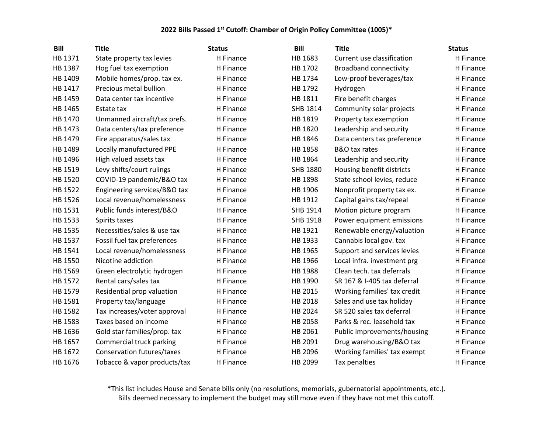| <b>Bill</b> | <b>Title</b>                      | <b>Status</b> | <b>Bill</b>     | <b>Title</b>                  | <b>Status</b> |
|-------------|-----------------------------------|---------------|-----------------|-------------------------------|---------------|
| HB 1371     | State property tax levies         | H Finance     | HB 1683         | Current use classification    | H Finance     |
| HB 1387     | Hog fuel tax exemption            | H Finance     | HB 1702         | <b>Broadband connectivity</b> | H Finance     |
| HB 1409     | Mobile homes/prop. tax ex.        | H Finance     | HB 1734         | Low-proof beverages/tax       | H Finance     |
| HB 1417     | Precious metal bullion            | H Finance     | HB 1792         | Hydrogen                      | H Finance     |
| HB 1459     | Data center tax incentive         | H Finance     | HB 1811         | Fire benefit charges          | H Finance     |
| HB 1465     | Estate tax                        | H Finance     | SHB 1814        | Community solar projects      | H Finance     |
| HB 1470     | Unmanned aircraft/tax prefs.      | H Finance     | HB 1819         | Property tax exemption        | H Finance     |
| HB 1473     | Data centers/tax preference       | H Finance     | HB 1820         | Leadership and security       | H Finance     |
| HB 1479     | Fire apparatus/sales tax          | H Finance     | HB 1846         | Data centers tax preference   | H Finance     |
| HB 1489     | Locally manufactured PPE          | H Finance     | HB 1858         | B&O tax rates                 | H Finance     |
| HB 1496     | High valued assets tax            | H Finance     | HB 1864         | Leadership and security       | H Finance     |
| HB 1519     | Levy shifts/court rulings         | H Finance     | <b>SHB 1880</b> | Housing benefit districts     | H Finance     |
| HB 1520     | COVID-19 pandemic/B&O tax         | H Finance     | HB 1898         | State school levies, reduce   | H Finance     |
| HB 1522     | Engineering services/B&O tax      | H Finance     | HB 1906         | Nonprofit property tax ex.    | H Finance     |
| HB 1526     | Local revenue/homelessness        | H Finance     | HB 1912         | Capital gains tax/repeal      | H Finance     |
| HB 1531     | Public funds interest/B&O         | H Finance     | SHB 1914        | Motion picture program        | H Finance     |
| HB 1533     | Spirits taxes                     | H Finance     | SHB 1918        | Power equipment emissions     | H Finance     |
| HB 1535     | Necessities/sales & use tax       | H Finance     | HB 1921         | Renewable energy/valuation    | H Finance     |
| HB 1537     | Fossil fuel tax preferences       | H Finance     | HB 1933         | Cannabis local gov. tax       | H Finance     |
| HB 1541     | Local revenue/homelessness        | H Finance     | HB 1965         | Support and services levies   | H Finance     |
| HB 1550     | Nicotine addiction                | H Finance     | HB 1966         | Local infra. investment prg   | H Finance     |
| HB 1569     | Green electrolytic hydrogen       | H Finance     | HB 1988         | Clean tech. tax deferrals     | H Finance     |
| HB 1572     | Rental cars/sales tax             | H Finance     | HB 1990         | SR 167 & I-405 tax deferral   | H Finance     |
| HB 1579     | Residential prop valuation        | H Finance     | HB 2015         | Working families' tax credit  | H Finance     |
| HB 1581     | Property tax/language             | H Finance     | HB 2018         | Sales and use tax holiday     | H Finance     |
| HB 1582     | Tax increases/voter approval      | H Finance     | HB 2024         | SR 520 sales tax deferral     | H Finance     |
| HB 1583     | Taxes based on income             | H Finance     | HB 2058         | Parks & rec. leasehold tax    | H Finance     |
| HB 1636     | Gold star families/prop. tax      | H Finance     | HB 2061         | Public improvements/housing   | H Finance     |
| HB 1657     | Commercial truck parking          | H Finance     | HB 2091         | Drug warehousing/B&O tax      | H Finance     |
| HB 1672     | <b>Conservation futures/taxes</b> | H Finance     | HB 2096         | Working families' tax exempt  | H Finance     |
| HB 1676     | Tobacco & vapor products/tax      | H Finance     | HB 2099         | Tax penalties                 | H Finance     |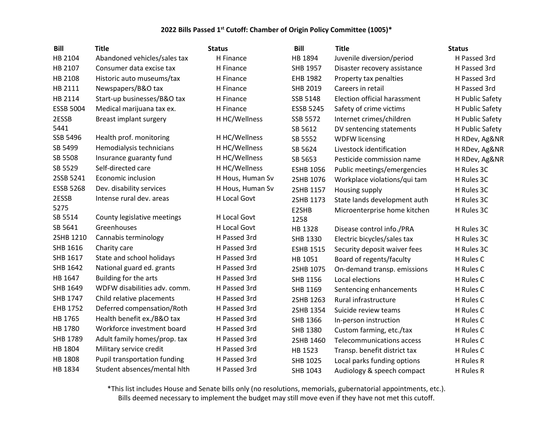| Bill             | <b>Title</b>                 | <b>Status</b>    | <b>Bill</b>      | <b>Title</b>                 | <b>Status</b>   |
|------------------|------------------------------|------------------|------------------|------------------------------|-----------------|
| HB 2104          | Abandoned vehicles/sales tax | H Finance        | HB 1894          | Juvenile diversion/period    | H Passed 3rd    |
| HB 2107          | Consumer data excise tax     | H Finance        | SHB 1957         | Disaster recovery assistance | H Passed 3rd    |
| HB 2108          | Historic auto museums/tax    | H Finance        | EHB 1982         | Property tax penalties       | H Passed 3rd    |
| HB 2111          | Newspapers/B&O tax           | H Finance        | SHB 2019         | Careers in retail            | H Passed 3rd    |
| HB 2114          | Start-up businesses/B&O tax  | H Finance        | SSB 5148         | Election official harassment | H Public Safety |
| <b>ESSB 5004</b> | Medical marijuana tax ex.    | H Finance        | <b>ESSB 5245</b> | Safety of crime victims      | H Public Safety |
| 2ESSB            | Breast implant surgery       | H HC/Wellness    | SSB 5572         | Internet crimes/children     | H Public Safety |
| 5441             |                              |                  | SB 5612          | DV sentencing statements     | H Public Safety |
| SSB 5496         | Health prof. monitoring      | H HC/Wellness    | SB 5552          | <b>WDFW licensing</b>        | H RDev, Ag&NR   |
| SB 5499          | Hemodialysis technicians     | H HC/Wellness    | SB 5624          | Livestock identification     | H RDev, Ag&NR   |
| SB 5508          | Insurance guaranty fund      | H HC/Wellness    | SB 5653          | Pesticide commission name    | H RDev, Ag&NR   |
| SB 5529          | Self-directed care           | H HC/Wellness    | <b>ESHB 1056</b> | Public meetings/emergencies  | H Rules 3C      |
| 2SSB 5241        | Economic inclusion           | H Hous, Human Sv | 2SHB 1076        | Workplace violations/qui tam | H Rules 3C      |
| <b>ESSB 5268</b> | Dev. disability services     | H Hous, Human Sv | 2SHB 1157        | Housing supply               | H Rules 3C      |
| 2ESSB            | Intense rural dev. areas     | H Local Govt     | 2SHB 1173        | State lands development auth | H Rules 3C      |
| 5275             |                              |                  | E2SHB            | Microenterprise home kitchen | H Rules 3C      |
| SB 5514          | County legislative meetings  | H Local Govt     | 1258             |                              |                 |
| SB 5641          | Greenhouses                  | H Local Govt     | HB 1328          | Disease control info./PRA    | H Rules 3C      |
| 2SHB 1210        | Cannabis terminology         | H Passed 3rd     | SHB 1330         | Electric bicycles/sales tax  | H Rules 3C      |
| SHB 1616         | Charity care                 | H Passed 3rd     | <b>ESHB 1515</b> | Security deposit waiver fees | H Rules 3C      |
| SHB 1617         | State and school holidays    | H Passed 3rd     | HB 1051          | Board of regents/faculty     | H Rules C       |
| SHB 1642         | National guard ed. grants    | H Passed 3rd     | 2SHB 1075        | On-demand transp. emissions  | H Rules C       |
| HB 1647          | Building for the arts        | H Passed 3rd     | SHB 1156         | Local elections              | H Rules C       |
| SHB 1649         | WDFW disabilities adv. comm. | H Passed 3rd     | SHB 1169         | Sentencing enhancements      | H Rules C       |
| SHB 1747         | Child relative placements    | H Passed 3rd     | 2SHB 1263        | Rural infrastructure         | H Rules C       |
| EHB 1752         | Deferred compensation/Roth   | H Passed 3rd     | 2SHB 1354        | Suicide review teams         | H Rules C       |
| HB 1765          | Health benefit ex./B&O tax   | H Passed 3rd     | SHB 1366         | In-person instruction        | H Rules C       |
| HB 1780          | Workforce investment board   | H Passed 3rd     | SHB 1380         | Custom farming, etc./tax     | H Rules C       |
| SHB 1789         | Adult family homes/prop. tax | H Passed 3rd     | 2SHB 1460        | Telecommunications access    | H Rules C       |
| HB 1804          | Military service credit      | H Passed 3rd     | HB 1523          | Transp. benefit district tax | H Rules C       |
| HB 1808          | Pupil transportation funding | H Passed 3rd     | SHB 1025         | Local parks funding options  | H Rules R       |
| HB 1834          | Student absences/mental hith | H Passed 3rd     | SHB 1043         | Audiology & speech compact   | H Rules R       |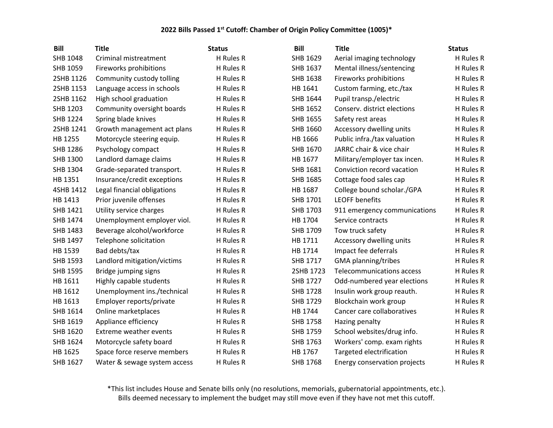| <b>Bill</b>     | <b>Title</b>                  | <b>Status</b> | <b>Bill</b>     | <b>Title</b>                     | <b>Status</b> |
|-----------------|-------------------------------|---------------|-----------------|----------------------------------|---------------|
| SHB 1048        | Criminal mistreatment         | H Rules R     | SHB 1629        | Aerial imaging technology        | H Rules R     |
| SHB 1059        | Fireworks prohibitions        | H Rules R     | SHB 1637        | Mental illness/sentencing        | H Rules R     |
| 2SHB 1126       | Community custody tolling     | H Rules R     | SHB 1638        | Fireworks prohibitions           | H Rules R     |
| 2SHB 1153       | Language access in schools    | H Rules R     | HB 1641         | Custom farming, etc./tax         | H Rules R     |
| 2SHB 1162       | High school graduation        | H Rules R     | SHB 1644        | Pupil transp./electric           | H Rules R     |
| SHB 1203        | Community oversight boards    | H Rules R     | SHB 1652        | Conserv. district elections      | H Rules R     |
| <b>SHB 1224</b> | Spring blade knives           | H Rules R     | SHB 1655        | Safety rest areas                | H Rules R     |
| 2SHB 1241       | Growth management act plans   | H Rules R     | SHB 1660        | Accessory dwelling units         | H Rules R     |
| HB 1255         | Motorcycle steering equip.    | H Rules R     | HB 1666         | Public infra./tax valuation      | H Rules R     |
| SHB 1286        | Psychology compact            | H Rules R     | SHB 1670        | JARRC chair & vice chair         | H Rules R     |
| SHB 1300        | Landlord damage claims        | H Rules R     | HB 1677         | Military/employer tax incen.     | H Rules R     |
| SHB 1304        | Grade-separated transport.    | H Rules R     | SHB 1681        | Conviction record vacation       | H Rules R     |
| HB 1351         | Insurance/credit exceptions   | H Rules R     | SHB 1685        | Cottage food sales cap           | H Rules R     |
| 4SHB 1412       | Legal financial obligations   | H Rules R     | HB 1687         | College bound scholar./GPA       | H Rules R     |
| HB 1413         | Prior juvenile offenses       | H Rules R     | SHB 1701        | <b>LEOFF benefits</b>            | H Rules R     |
| SHB 1421        | Utility service charges       | H Rules R     | SHB 1703        | 911 emergency communications     | H Rules R     |
| SHB 1474        | Unemployment employer viol.   | H Rules R     | HB 1704         | Service contracts                | H Rules R     |
| SHB 1483        | Beverage alcohol/workforce    | H Rules R     | SHB 1709        | Tow truck safety                 | H Rules R     |
| SHB 1497        | Telephone solicitation        | H Rules R     | HB 1711         | Accessory dwelling units         | H Rules R     |
| HB 1539         | Bad debts/tax                 | H Rules R     | HB 1714         | Impact fee deferrals             | H Rules R     |
| <b>SHB 1593</b> | Landlord mitigation/victims   | H Rules R     | SHB 1717        | GMA planning/tribes              | H Rules R     |
| <b>SHB 1595</b> | Bridge jumping signs          | H Rules R     | 2SHB 1723       | <b>Telecommunications access</b> | H Rules R     |
| HB 1611         | Highly capable students       | H Rules R     | SHB 1727        | Odd-numbered year elections      | H Rules R     |
| HB 1612         | Unemployment ins./technical   | H Rules R     | <b>SHB 1728</b> | Insulin work group reauth.       | H Rules R     |
| HB 1613         | Employer reports/private      | H Rules R     | SHB 1729        | Blockchain work group            | H Rules R     |
| SHB 1614        | Online marketplaces           | H Rules R     | HB 1744         | Cancer care collaboratives       | H Rules R     |
| SHB 1619        | Appliance efficiency          | H Rules R     | <b>SHB 1758</b> | Hazing penalty                   | H Rules R     |
| SHB 1620        | <b>Extreme weather events</b> | H Rules R     | SHB 1759        | School websites/drug info.       | H Rules R     |
| SHB 1624        | Motorcycle safety board       | H Rules R     | SHB 1763        | Workers' comp. exam rights       | H Rules R     |
| HB 1625         | Space force reserve members   | H Rules R     | HB 1767         | Targeted electrification         | H Rules R     |
| <b>SHB 1627</b> | Water & sewage system access  | H Rules R     | <b>SHB 1768</b> | Energy conservation projects     | H Rules R     |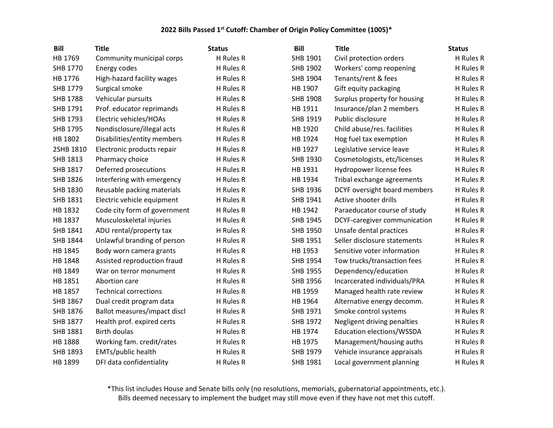| <b>Bill</b>     | <b>Title</b>                 | <b>Status</b> | <b>Bill</b>     | <b>Title</b>                 | <b>Status</b> |
|-----------------|------------------------------|---------------|-----------------|------------------------------|---------------|
| HB 1769         | Community municipal corps    | H Rules R     | SHB 1901        | Civil protection orders      | H Rules R     |
| SHB 1770        | Energy codes                 | H Rules R     | SHB 1902        | Workers' comp reopening      | H Rules R     |
| HB 1776         | High-hazard facility wages   | H Rules R     | SHB 1904        | Tenants/rent & fees          | H Rules R     |
| SHB 1779        | Surgical smoke               | H Rules R     | HB 1907         | Gift equity packaging        | H Rules R     |
| <b>SHB 1788</b> | Vehicular pursuits           | H Rules R     | <b>SHB 1908</b> | Surplus property for housing | H Rules R     |
| SHB 1791        | Prof. educator reprimands    | H Rules R     | HB 1911         | Insurance/plan 2 members     | H Rules R     |
| SHB 1793        | Electric vehicles/HOAs       | H Rules R     | SHB 1919        | Public disclosure            | H Rules R     |
| SHB 1795        | Nondisclosure/illegal acts   | H Rules R     | HB 1920         | Child abuse/res. facilities  | H Rules R     |
| HB 1802         | Disabilities/entity members  | H Rules R     | HB 1924         | Hog fuel tax exemption       | H Rules R     |
| 2SHB 1810       | Electronic products repair   | H Rules R     | HB 1927         | Legislative service leave    | H Rules R     |
| SHB 1813        | Pharmacy choice              | H Rules R     | SHB 1930        | Cosmetologists, etc/licenses | H Rules R     |
| SHB 1817        | Deferred prosecutions        | H Rules R     | HB 1931         | Hydropower license fees      | H Rules R     |
| SHB 1826        | Interfering with emergency   | H Rules R     | HB 1934         | Tribal exchange agreements   | H Rules R     |
| SHB 1830        | Reusable packing materials   | H Rules R     | SHB 1936        | DCYF oversight board members | H Rules R     |
| SHB 1831        | Electric vehicle equipment   | H Rules R     | SHB 1941        | Active shooter drills        | H Rules R     |
| HB 1832         | Code city form of government | H Rules R     | HB 1942         | Paraeducator course of study | H Rules R     |
| HB 1837         | Musculoskeletal injuries     | H Rules R     | SHB 1945        | DCYF-caregiver communication | H Rules R     |
| SHB 1841        | ADU rental/property tax      | H Rules R     | SHB 1950        | Unsafe dental practices      | H Rules R     |
| SHB 1844        | Unlawful branding of person  | H Rules R     | SHB 1951        | Seller disclosure statements | H Rules R     |
| HB 1845         | Body worn camera grants      | H Rules R     | HB 1953         | Sensitive voter information  | H Rules R     |
| HB 1848         | Assisted reproduction fraud  | H Rules R     | SHB 1954        | Tow trucks/transaction fees  | H Rules R     |
| HB 1849         | War on terror monument       | H Rules R     | SHB 1955        | Dependency/education         | H Rules R     |
| HB 1851         | Abortion care                | H Rules R     | SHB 1956        | Incarcerated individuals/PRA | H Rules R     |
| HB 1857         | <b>Technical corrections</b> | H Rules R     | HB 1959         | Managed health rate review   | H Rules R     |
| SHB 1867        | Dual credit program data     | H Rules R     | HB 1964         | Alternative energy decomm.   | H Rules R     |
| SHB 1876        | Ballot measures/impact discl | H Rules R     | SHB 1971        | Smoke control systems        | H Rules R     |
| SHB 1877        | Health prof. expired certs   | H Rules R     | SHB 1972        | Negligent driving penalties  | H Rules R     |
| SHB 1881        | <b>Birth doulas</b>          | H Rules R     | HB 1974         | Education elections/WSSDA    | H Rules R     |
| HB 1888         | Working fam. credit/rates    | H Rules R     | HB 1975         | Management/housing auths     | H Rules R     |
| SHB 1893        | EMTs/public health           | H Rules R     | SHB 1979        | Vehicle insurance appraisals | H Rules R     |
| HB 1899         | DFI data confidentiality     | H Rules R     | <b>SHB 1981</b> | Local government planning    | H Rules R     |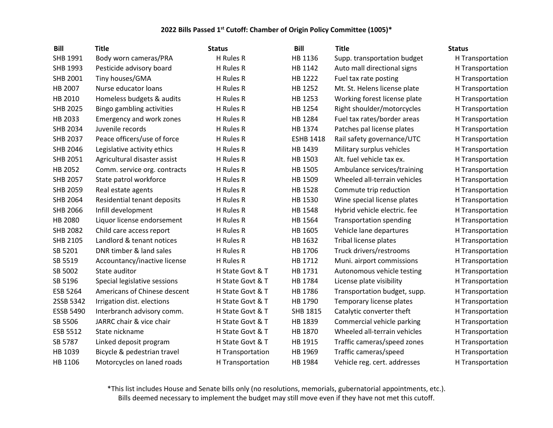| <b>Bill</b>      | <b>Title</b>                 | <b>Status</b>    | <b>Bill</b>      | <b>Title</b>                   | <b>Status</b>    |
|------------------|------------------------------|------------------|------------------|--------------------------------|------------------|
| SHB 1991         | Body worn cameras/PRA        | H Rules R        | HB 1136          | Supp. transportation budget    | H Transportation |
| SHB 1993         | Pesticide advisory board     | H Rules R        | HB 1142          | Auto mall directional signs    | H Transportation |
| SHB 2001         | Tiny houses/GMA              | H Rules R        | HB 1222          | Fuel tax rate posting          | H Transportation |
| HB 2007          | Nurse educator loans         | H Rules R        | HB 1252          | Mt. St. Helens license plate   | H Transportation |
| HB 2010          | Homeless budgets & audits    | H Rules R        | HB 1253          | Working forest license plate   | H Transportation |
| <b>SHB 2025</b>  | Bingo gambling activities    | H Rules R        | HB 1254          | Right shoulder/motorcycles     | H Transportation |
| HB 2033          | Emergency and work zones     | H Rules R        | HB 1284          | Fuel tax rates/border areas    | H Transportation |
| <b>SHB 2034</b>  | Juvenile records             | H Rules R        | HB 1374          | Patches pal license plates     | H Transportation |
| <b>SHB 2037</b>  | Peace officers/use of force  | H Rules R        | <b>ESHB 1418</b> | Rail safety governance/UTC     | H Transportation |
| SHB 2046         | Legislative activity ethics  | H Rules R        | HB 1439          | Military surplus vehicles      | H Transportation |
| SHB 2051         | Agricultural disaster assist | H Rules R        | HB 1503          | Alt. fuel vehicle tax ex.      | H Transportation |
| HB 2052          | Comm. service org. contracts | H Rules R        | HB 1505          | Ambulance services/training    | H Transportation |
| <b>SHB 2057</b>  | State patrol workforce       | H Rules R        | HB 1509          | Wheeled all-terrain vehicles   | H Transportation |
| <b>SHB 2059</b>  | Real estate agents           | H Rules R        | HB 1528          | Commute trip reduction         | H Transportation |
| <b>SHB 2064</b>  | Residential tenant deposits  | H Rules R        | HB 1530          | Wine special license plates    | H Transportation |
| <b>SHB 2066</b>  | Infill development           | H Rules R        | HB 1548          | Hybrid vehicle electric. fee   | H Transportation |
| HB 2080          | Liquor license endorsement   | H Rules R        | HB 1564          | <b>Transportation spending</b> | H Transportation |
| <b>SHB 2082</b>  | Child care access report     | H Rules R        | HB 1605          | Vehicle lane departures        | H Transportation |
| SHB 2105         | Landlord & tenant notices    | H Rules R        | HB 1632          | Tribal license plates          | H Transportation |
| SB 5201          | DNR timber & land sales      | H Rules R        | HB 1706          | Truck drivers/restrooms        | H Transportation |
| SB 5519          | Accountancy/inactive license | H Rules R        | HB 1712          | Muni. airport commissions      | H Transportation |
| SB 5002          | State auditor                | H State Govt & T | HB 1731          | Autonomous vehicle testing     | H Transportation |
| SB 5196          | Special legislative sessions | H State Govt & T | HB 1784          | License plate visibility       | H Transportation |
| ESB 5264         | Americans of Chinese descent | H State Govt & T | HB 1786          | Transportation budget, supp.   | H Transportation |
| 2SSB 5342        | Irrigation dist. elections   | H State Govt & T | HB 1790          | Temporary license plates       | H Transportation |
| <b>ESSB 5490</b> | Interbranch advisory comm.   | H State Govt & T | <b>SHB 1815</b>  | Catalytic converter theft      | H Transportation |
| SB 5506          | JARRC chair & vice chair     | H State Govt & T | HB 1839          | Commercial vehicle parking     | H Transportation |
| ESB 5512         | State nickname               | H State Govt & T | HB 1870          | Wheeled all-terrain vehicles   | H Transportation |
| SB 5787          | Linked deposit program       | H State Govt & T | HB 1915          | Traffic cameras/speed zones    | H Transportation |
| HB 1039          | Bicycle & pedestrian travel  | H Transportation | HB 1969          | Traffic cameras/speed          | H Transportation |
| HB 1106          | Motorcycles on laned roads   | H Transportation | HB 1984          | Vehicle reg. cert. addresses   | H Transportation |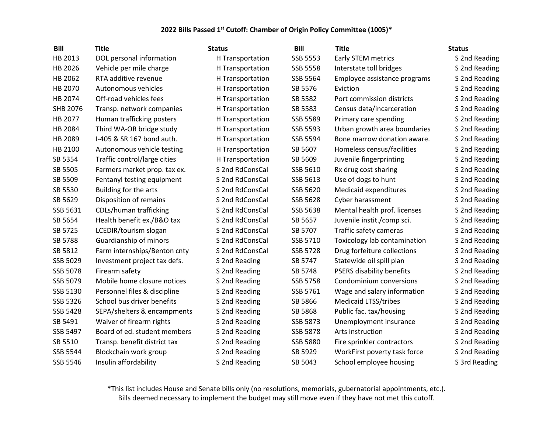| <b>Bill</b> | <b>Title</b>                 | <b>Status</b>    | <b>Bill</b>     | <b>Title</b>                     | <b>Status</b> |
|-------------|------------------------------|------------------|-----------------|----------------------------------|---------------|
| HB 2013     | DOL personal information     | H Transportation | <b>SSB 5553</b> | Early STEM metrics               | S 2nd Reading |
| HB 2026     | Vehicle per mile charge      | H Transportation | <b>SSB 5558</b> | Interstate toll bridges          | S 2nd Reading |
| HB 2062     | RTA additive revenue         | H Transportation | SSB 5564        | Employee assistance programs     | S 2nd Reading |
| HB 2070     | Autonomous vehicles          | H Transportation | SB 5576         | Eviction                         | S 2nd Reading |
| HB 2074     | Off-road vehicles fees       | H Transportation | SB 5582         | Port commission districts        | S 2nd Reading |
| SHB 2076    | Transp. network companies    | H Transportation | SB 5583         | Census data/incarceration        | S 2nd Reading |
| HB 2077     | Human trafficking posters    | H Transportation | SSB 5589        | Primary care spending            | S 2nd Reading |
| HB 2084     | Third WA-OR bridge study     | H Transportation | SSB 5593        | Urban growth area boundaries     | S 2nd Reading |
| HB 2089     | I-405 & SR 167 bond auth.    | H Transportation | SSB 5594        | Bone marrow donation aware.      | S 2nd Reading |
| HB 2100     | Autonomous vehicle testing   | H Transportation | SB 5607         | Homeless census/facilities       | S 2nd Reading |
| SB 5354     | Traffic control/large cities | H Transportation | SB 5609         | Juvenile fingerprinting          | S 2nd Reading |
| SB 5505     | Farmers market prop. tax ex. | S 2nd RdConsCal  | SSB 5610        | Rx drug cost sharing             | S 2nd Reading |
| SB 5509     | Fentanyl testing equipment   | S 2nd RdConsCal  | SSB 5613        | Use of dogs to hunt              | S 2nd Reading |
| SB 5530     | Building for the arts        | S 2nd RdConsCal  | SSB 5620        | Medicaid expenditures            | S 2nd Reading |
| SB 5629     | Disposition of remains       | S 2nd RdConsCal  | SSB 5628        | Cyber harassment                 | S 2nd Reading |
| SSB 5631    | CDLs/human trafficking       | S 2nd RdConsCal  | SSB 5638        | Mental health prof. licenses     | S 2nd Reading |
| SB 5654     | Health benefit ex./B&O tax   | S 2nd RdConsCal  | SB 5657         | Juvenile instit./comp sci.       | S 2nd Reading |
| SB 5725     | LCEDIR/tourism slogan        | S 2nd RdConsCal  | SB 5707         | Traffic safety cameras           | S 2nd Reading |
| SB 5788     | Guardianship of minors       | S 2nd RdConsCal  | SSB 5710        | Toxicology lab contamination     | S 2nd Reading |
| SB 5812     | Farm internships/Benton cnty | S 2nd RdConsCal  | SSB 5728        | Drug forfeiture collections      | S 2nd Reading |
| SSB 5029    | Investment project tax defs. | S 2nd Reading    | SB 5747         | Statewide oil spill plan         | S 2nd Reading |
| SSB 5078    | Firearm safety               | S 2nd Reading    | SB 5748         | <b>PSERS disability benefits</b> | S 2nd Reading |
| SSB 5079    | Mobile home closure notices  | S 2nd Reading    | SSB 5758        | Condominium conversions          | S 2nd Reading |
| SSB 5130    | Personnel files & discipline | S 2nd Reading    | SSB 5761        | Wage and salary information      | S 2nd Reading |
| SSB 5326    | School bus driver benefits   | S 2nd Reading    | SB 5866         | <b>Medicaid LTSS/tribes</b>      | S 2nd Reading |
| SSB 5428    | SEPA/shelters & encampments  | S 2nd Reading    | SB 5868         | Public fac. tax/housing          | S 2nd Reading |
| SB 5491     | Waiver of firearm rights     | S 2nd Reading    | SSB 5873        | Unemployment insurance           | S 2nd Reading |
| SSB 5497    | Board of ed. student members | S 2nd Reading    | SSB 5878        | Arts instruction                 | S 2nd Reading |
| SB 5510     | Transp. benefit district tax | S 2nd Reading    | <b>SSB 5880</b> | Fire sprinkler contractors       | S 2nd Reading |
| SSB 5544    | Blockchain work group        | S 2nd Reading    | SB 5929         | WorkFirst poverty task force     | S 2nd Reading |
| SSB 5546    | Insulin affordability        | S 2nd Reading    | SB 5043         | School employee housing          | S 3rd Reading |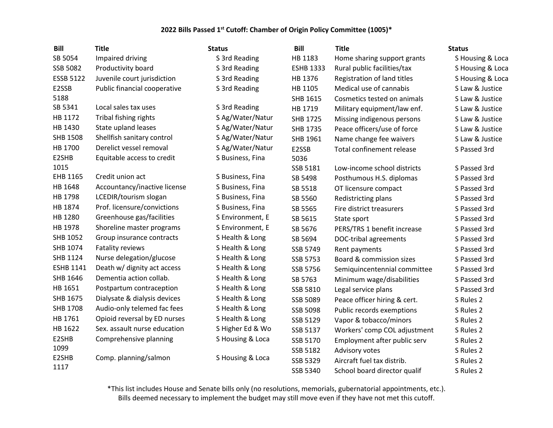| <b>Bill</b>      | <b>Title</b>                 | <b>Status</b>    | <b>Bill</b>      | <b>Title</b>                 | <b>Status</b>    |
|------------------|------------------------------|------------------|------------------|------------------------------|------------------|
| SB 5054          | Impaired driving             | S 3rd Reading    | HB 1183          | Home sharing support grants  | S Housing & Loca |
| SSB 5082         | Productivity board           | S 3rd Reading    | <b>ESHB 1333</b> | Rural public facilities/tax  | S Housing & Loca |
| <b>ESSB 5122</b> | Juvenile court jurisdiction  | S 3rd Reading    | HB 1376          | Registration of land titles  | S Housing & Loca |
| E2SSB            | Public financial cooperative | S 3rd Reading    | HB 1105          | Medical use of cannabis      | S Law & Justice  |
| 5188             |                              |                  | SHB 1615         | Cosmetics tested on animals  | S Law & Justice  |
| SB 5341          | Local sales tax uses         | S 3rd Reading    | HB 1719          | Military equipment/law enf.  | S Law & Justice  |
| HB 1172          | Tribal fishing rights        | S Ag/Water/Natur | SHB 1725         | Missing indigenous persons   | S Law & Justice  |
| HB 1430          | State upland leases          | S Ag/Water/Natur | SHB 1735         | Peace officers/use of force  | S Law & Justice  |
| <b>SHB 1508</b>  | Shellfish sanitary control   | S Ag/Water/Natur | SHB 1961         | Name change fee waivers      | S Law & Justice  |
| HB 1700          | Derelict vessel removal      | S Ag/Water/Natur | E2SSB            | Total confinement release    | S Passed 3rd     |
| E2SHB            | Equitable access to credit   | S Business, Fina | 5036             |                              |                  |
| 1015             |                              |                  | SSB 5181         | Low-income school districts  | S Passed 3rd     |
| EHB 1165         | Credit union act             | S Business, Fina | SB 5498          | Posthumous H.S. diplomas     | S Passed 3rd     |
| HB 1648          | Accountancy/inactive license | S Business, Fina | SB 5518          | OT licensure compact         | S Passed 3rd     |
| HB 1798          | LCEDIR/tourism slogan        | S Business, Fina | SB 5560          | Redistricting plans          | S Passed 3rd     |
| HB 1874          | Prof. licensure/convictions  | S Business, Fina | SB 5565          | Fire district treasurers     | S Passed 3rd     |
| HB 1280          | Greenhouse gas/facilities    | S Environment, E | SB 5615          | State sport                  | S Passed 3rd     |
| HB 1978          | Shoreline master programs    | S Environment, E | SB 5676          | PERS/TRS 1 benefit increase  | S Passed 3rd     |
| SHB 1052         | Group insurance contracts    | S Health & Long  | SB 5694          | DOC-tribal agreements        | S Passed 3rd     |
| SHB 1074         | Fatality reviews             | S Health & Long  | SSB 5749         | Rent payments                | S Passed 3rd     |
| SHB 1124         | Nurse delegation/glucose     | S Health & Long  | SSB 5753         | Board & commission sizes     | S Passed 3rd     |
| <b>ESHB 1141</b> | Death w/ dignity act access  | S Health & Long  | SSB 5756         | Semiquincentennial committee | S Passed 3rd     |
| SHB 1646         | Dementia action collab.      | S Health & Long  | SB 5763          | Minimum wage/disabilities    | S Passed 3rd     |
| HB 1651          | Postpartum contraception     | S Health & Long  | SSB 5810         | Legal service plans          | S Passed 3rd     |
| SHB 1675         | Dialysate & dialysis devices | S Health & Long  | SSB 5089         | Peace officer hiring & cert. | S Rules 2        |
| <b>SHB 1708</b>  | Audio-only telemed fac fees  | S Health & Long  | SSB 5098         | Public records exemptions    | S Rules 2        |
| HB 1761          | Opioid reversal by ED nurses | S Health & Long  | SSB 5129         | Vapor & tobacco/minors       | S Rules 2        |
| HB 1622          | Sex. assault nurse education | S Higher Ed & Wo | SSB 5137         | Workers' comp COL adjustment | S Rules 2        |
| E2SHB            | Comprehensive planning       | S Housing & Loca | SSB 5170         | Employment after public serv | S Rules 2        |
| 1099             |                              |                  | SSB 5182         | Advisory votes               | S Rules 2        |
| E2SHB            | Comp. planning/salmon        | S Housing & Loca | SSB 5329         | Aircraft fuel tax distrib.   | S Rules 2        |
| 1117             |                              |                  | SSB 5340         | School board director qualif | S Rules 2        |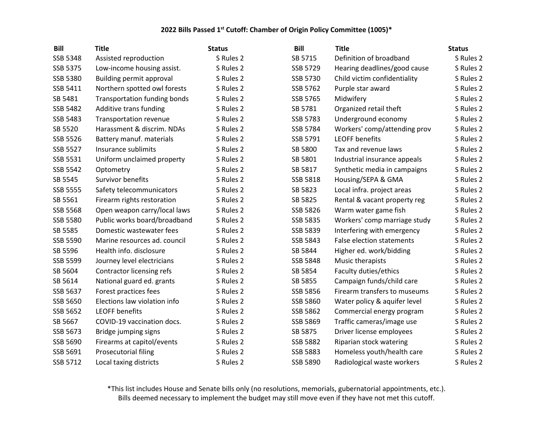| <b>Bill</b> | <b>Title</b>                        | <b>Status</b> | <b>Bill</b>     | <b>Title</b>                     | <b>Status</b> |
|-------------|-------------------------------------|---------------|-----------------|----------------------------------|---------------|
| SSB 5348    | Assisted reproduction               | S Rules 2     | SB 5715         | Definition of broadband          | S Rules 2     |
| SSB 5375    | Low-income housing assist.          | S Rules 2     | SSB 5729        | Hearing deadlines/good cause     | S Rules 2     |
| SSB 5380    | Building permit approval            | S Rules 2     | SSB 5730        | Child victim confidentiality     | S Rules 2     |
| SSB 5411    | Northern spotted owl forests        | S Rules 2     | SSB 5762        | Purple star award                | S Rules 2     |
| SB 5481     | <b>Transportation funding bonds</b> | S Rules 2     | SSB 5765        | Midwifery                        | S Rules 2     |
| SSB 5482    | Additive trans funding              | S Rules 2     | SB 5781         | Organized retail theft           | S Rules 2     |
| SSB 5483    | Transportation revenue              | S Rules 2     | SSB 5783        | Underground economy              | S Rules 2     |
| SB 5520     | Harassment & discrim. NDAs          | S Rules 2     | SSB 5784        | Workers' comp/attending prov     | S Rules 2     |
| SSB 5526    | Battery manuf. materials            | S Rules 2     | SSB 5791        | <b>LEOFF benefits</b>            | S Rules 2     |
| SSB 5527    | Insurance sublimits                 | S Rules 2     | SB 5800         | Tax and revenue laws             | S Rules 2     |
| SSB 5531    | Uniform unclaimed property          | S Rules 2     | SB 5801         | Industrial insurance appeals     | S Rules 2     |
| SSB 5542    | Optometry                           | S Rules 2     | SB 5817         | Synthetic media in campaigns     | S Rules 2     |
| SB 5545     | Survivor benefits                   | S Rules 2     | SSB 5818        | Housing/SEPA & GMA               | S Rules 2     |
| SSB 5555    | Safety telecommunicators            | S Rules 2     | SB 5823         | Local infra. project areas       | S Rules 2     |
| SB 5561     | Firearm rights restoration          | S Rules 2     | SB 5825         | Rental & vacant property reg     | S Rules 2     |
| SSB 5568    | Open weapon carry/local laws        | S Rules 2     | SSB 5826        | Warm water game fish             | S Rules 2     |
| SSB 5580    | Public works board/broadband        | S Rules 2     | <b>SSB 5835</b> | Workers' comp marriage study     | S Rules 2     |
| SB 5585     | Domestic wastewater fees            | S Rules 2     | SSB 5839        | Interfering with emergency       | S Rules 2     |
| SSB 5590    | Marine resources ad. council        | S Rules 2     | SSB 5843        | <b>False election statements</b> | S Rules 2     |
| SB 5596     | Health info. disclosure             | S Rules 2     | SB 5844         | Higher ed. work/bidding          | S Rules 2     |
| SSB 5599    | Journey level electricians          | S Rules 2     | SSB 5848        | Music therapists                 | S Rules 2     |
| SB 5604     | Contractor licensing refs           | S Rules 2     | SB 5854         | Faculty duties/ethics            | S Rules 2     |
| SB 5614     | National guard ed. grants           | S Rules 2     | SB 5855         | Campaign funds/child care        | S Rules 2     |
| SSB 5637    | Forest practices fees               | S Rules 2     | SSB 5856        | Firearm transfers to museums     | S Rules 2     |
| SSB 5650    | Elections law violation info        | S Rules 2     | SSB 5860        | Water policy & aquifer level     | S Rules 2     |
| SSB 5652    | <b>LEOFF benefits</b>               | S Rules 2     | SSB 5862        | Commercial energy program        | S Rules 2     |
| SB 5667     | COVID-19 vaccination docs.          | S Rules 2     | SSB 5869        | Traffic cameras/image use        | S Rules 2     |
| SSB 5673    | Bridge jumping signs                | S Rules 2     | SB 5875         | Driver license employees         | S Rules 2     |
| SSB 5690    | Firearms at capitol/events          | S Rules 2     | <b>SSB 5882</b> | Riparian stock watering          | S Rules 2     |
| SSB 5691    | <b>Prosecutorial filing</b>         | S Rules 2     | SSB 5883        | Homeless youth/health care       | S Rules 2     |
| SSB 5712    | Local taxing districts              | S Rules 2     | SSB 5890        | Radiological waste workers       | S Rules 2     |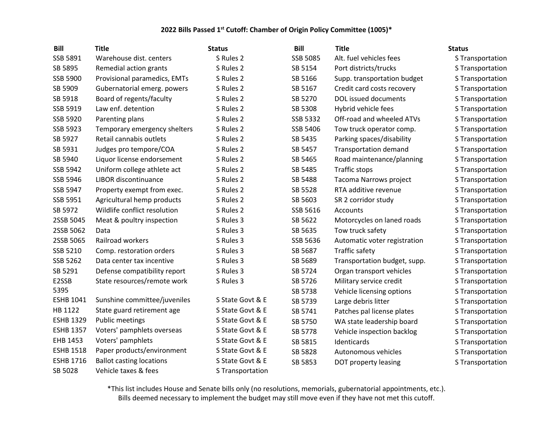| <b>Bill</b>      | <b>Title</b>                    | <b>Status</b>    | <b>Bill</b>     | <b>Title</b>                 | <b>Status</b>    |
|------------------|---------------------------------|------------------|-----------------|------------------------------|------------------|
| SSB 5891         | Warehouse dist. centers         | S Rules 2        | <b>SSB 5085</b> | Alt. fuel vehicles fees      | S Transportation |
| SB 5895          | Remedial action grants          | S Rules 2        | SB 5154         | Port districts/trucks        | S Transportation |
| SSB 5900         | Provisional paramedics, EMTs    | S Rules 2        | SB 5166         | Supp. transportation budget  | S Transportation |
| SB 5909          | Gubernatorial emerg. powers     | S Rules 2        | SB 5167         | Credit card costs recovery   | S Transportation |
| SB 5918          | Board of regents/faculty        | S Rules 2        | SB 5270         | DOL issued documents         | S Transportation |
| SSB 5919         | Law enf. detention              | S Rules 2        | SB 5308         | Hybrid vehicle fees          | S Transportation |
| SSB 5920         | Parenting plans                 | S Rules 2        | SSB 5332        | Off-road and wheeled ATVs    | S Transportation |
| SSB 5923         | Temporary emergency shelters    | S Rules 2        | SSB 5406        | Tow truck operator comp.     | S Transportation |
| SB 5927          | Retail cannabis outlets         | S Rules 2        | SB 5435         | Parking spaces/disability    | S Transportation |
| SB 5931          | Judges pro tempore/COA          | S Rules 2        | SB 5457         | <b>Transportation demand</b> | S Transportation |
| SB 5940          | Liquor license endorsement      | S Rules 2        | SB 5465         | Road maintenance/planning    | S Transportation |
| SSB 5942         | Uniform college athlete act     | S Rules 2        | SB 5485         | <b>Traffic stops</b>         | S Transportation |
| SSB 5946         | LIBOR discontinuance            | S Rules 2        | SB 5488         | Tacoma Narrows project       | S Transportation |
| SSB 5947         | Property exempt from exec.      | S Rules 2        | SB 5528         | RTA additive revenue         | S Transportation |
| SSB 5951         | Agricultural hemp products      | S Rules 2        | SB 5603         | SR 2 corridor study          | S Transportation |
| SB 5972          | Wildlife conflict resolution    | S Rules 2        | SSB 5616        | Accounts                     | S Transportation |
| 2SSB 5045        | Meat & poultry inspection       | S Rules 3        | SB 5622         | Motorcycles on laned roads   | S Transportation |
| 2SSB 5062        | Data                            | S Rules 3        | SB 5635         | Tow truck safety             | S Transportation |
| 2SSB 5065        | Railroad workers                | S Rules 3        | SSB 5636        | Automatic voter registration | S Transportation |
| SSB 5210         | Comp. restoration orders        | S Rules 3        | SB 5687         | Traffic safety               | S Transportation |
| SSB 5262         | Data center tax incentive       | S Rules 3        | SB 5689         | Transportation budget, supp. | S Transportation |
| SB 5291          | Defense compatibility report    | S Rules 3        | SB 5724         | Organ transport vehicles     | S Transportation |
| E2SSB            | State resources/remote work     | S Rules 3        | SB 5726         | Military service credit      | S Transportation |
| 5395             |                                 |                  | SB 5738         | Vehicle licensing options    | S Transportation |
| <b>ESHB 1041</b> | Sunshine committee/juveniles    | S State Govt & E | SB 5739         | Large debris litter          | S Transportation |
| HB 1122          | State guard retirement age      | S State Govt & E | SB 5741         | Patches pal license plates   | S Transportation |
| <b>ESHB 1329</b> | <b>Public meetings</b>          | S State Govt & E | SB 5750         | WA state leadership board    | S Transportation |
| <b>ESHB 1357</b> | Voters' pamphlets overseas      | S State Govt & E | SB 5778         | Vehicle inspection backlog   | S Transportation |
| EHB 1453         | Voters' pamphlets               | S State Govt & E | SB 5815         | Identicards                  | S Transportation |
| <b>ESHB 1518</b> | Paper products/environment      | S State Govt & E | SB 5828         | Autonomous vehicles          | S Transportation |
| <b>ESHB 1716</b> | <b>Ballot casting locations</b> | S State Govt & E | SB 5853         | DOT property leasing         | S Transportation |
| SB 5028          | Vehicle taxes & fees            | S Transportation |                 |                              |                  |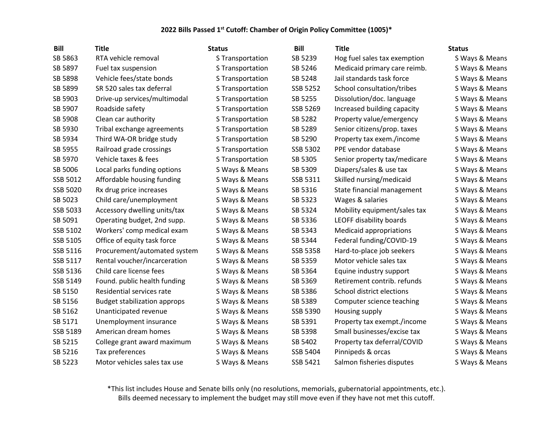| Bill     | <b>Title</b>                        | <b>Status</b>    | <b>Bill</b> | <b>Title</b>                 | <b>Status</b>  |
|----------|-------------------------------------|------------------|-------------|------------------------------|----------------|
| SB 5863  | RTA vehicle removal                 | S Transportation | SB 5239     | Hog fuel sales tax exemption | S Ways & Means |
| SB 5897  | Fuel tax suspension                 | S Transportation | SB 5246     | Medicaid primary care reimb. | S Ways & Means |
| SB 5898  | Vehicle fees/state bonds            | S Transportation | SB 5248     | Jail standards task force    | S Ways & Means |
| SB 5899  | SR 520 sales tax deferral           | S Transportation | SSB 5252    | School consultation/tribes   | S Ways & Means |
| SB 5903  | Drive-up services/multimodal        | S Transportation | SB 5255     | Dissolution/doc. language    | S Ways & Means |
| SB 5907  | Roadside safety                     | S Transportation | SSB 5269    | Increased building capacity  | S Ways & Means |
| SB 5908  | Clean car authority                 | S Transportation | SB 5282     | Property value/emergency     | S Ways & Means |
| SB 5930  | Tribal exchange agreements          | S Transportation | SB 5289     | Senior citizens/prop. taxes  | S Ways & Means |
| SB 5934  | Third WA-OR bridge study            | S Transportation | SB 5290     | Property tax exem./income    | S Ways & Means |
| SB 5955  | Railroad grade crossings            | S Transportation | SSB 5302    | PPE vendor database          | S Ways & Means |
| SB 5970  | Vehicle taxes & fees                | S Transportation | SB 5305     | Senior property tax/medicare | S Ways & Means |
| SB 5006  | Local parks funding options         | S Ways & Means   | SB 5309     | Diapers/sales & use tax      | S Ways & Means |
| SSB 5012 | Affordable housing funding          | S Ways & Means   | SSB 5311    | Skilled nursing/medicaid     | S Ways & Means |
| SSB 5020 | Rx drug price increases             | S Ways & Means   | SB 5316     | State financial management   | S Ways & Means |
| SB 5023  | Child care/unemployment             | S Ways & Means   | SB 5323     | Wages & salaries             | S Ways & Means |
| SSB 5033 | Accessory dwelling units/tax        | S Ways & Means   | SB 5324     | Mobility equipment/sales tax | S Ways & Means |
| SB 5091  | Operating budget, 2nd supp.         | S Ways & Means   | SB 5336     | LEOFF disability boards      | S Ways & Means |
| SSB 5102 | Workers' comp medical exam          | S Ways & Means   | SB 5343     | Medicaid appropriations      | S Ways & Means |
| SSB 5105 | Office of equity task force         | S Ways & Means   | SB 5344     | Federal funding/COVID-19     | S Ways & Means |
| SSB 5116 | Procurement/automated system        | S Ways & Means   | SSB 5358    | Hard-to-place job seekers    | S Ways & Means |
| SSB 5117 | Rental voucher/incarceration        | S Ways & Means   | SB 5359     | Motor vehicle sales tax      | S Ways & Means |
| SSB 5136 | Child care license fees             | S Ways & Means   | SB 5364     | Equine industry support      | S Ways & Means |
| SSB 5149 | Found. public health funding        | S Ways & Means   | SB 5369     | Retirement contrib. refunds  | S Ways & Means |
| SB 5150  | Residential services rate           | S Ways & Means   | SB 5386     | School district elections    | S Ways & Means |
| SB 5156  | <b>Budget stabilization approps</b> | S Ways & Means   | SB 5389     | Computer science teaching    | S Ways & Means |
| SB 5162  | Unanticipated revenue               | S Ways & Means   | SSB 5390    | Housing supply               | S Ways & Means |
| SB 5171  | Unemployment insurance              | S Ways & Means   | SB 5391     | Property tax exempt./income  | S Ways & Means |
| SSB 5189 | American dream homes                | S Ways & Means   | SB 5398     | Small businesses/excise tax  | S Ways & Means |
| SB 5215  | College grant award maximum         | S Ways & Means   | SB 5402     | Property tax deferral/COVID  | S Ways & Means |
| SB 5216  | Tax preferences                     | S Ways & Means   | SSB 5404    | Pinnipeds & orcas            | S Ways & Means |
| SB 5223  | Motor vehicles sales tax use        | S Ways & Means   | SSB 5421    | Salmon fisheries disputes    | S Ways & Means |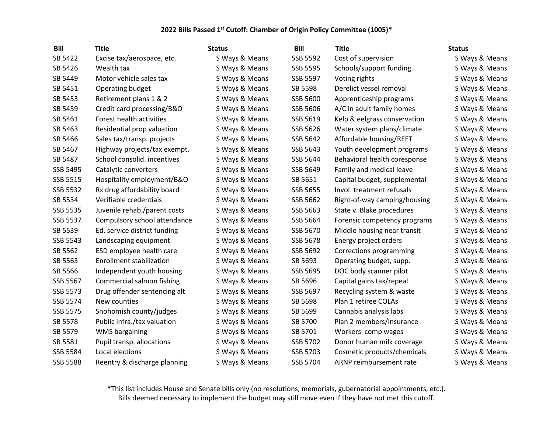| <b>Bill</b>     | <b>Title</b>                    | <b>Status</b>  | <b>Bill</b>     | <b>Title</b>                 | <b>Status</b>  |
|-----------------|---------------------------------|----------------|-----------------|------------------------------|----------------|
| SB 5422         | Excise tax/aerospace, etc.      | S Ways & Means | SSB 5592        | Cost of supervision          | S Ways & Means |
| SB 5426         | Wealth tax                      | S Ways & Means | <b>SSB 5595</b> | Schools/support funding      | S Ways & Means |
| SB 5449         | Motor vehicle sales tax         | S Ways & Means | SSB 5597        | Voting rights                | S Ways & Means |
| SB 5451         | Operating budget                | S Ways & Means | SB 5598         | Derelict vessel removal      | S Ways & Means |
| SB 5453         | Retirement plans 1 & 2          | S Ways & Means | SSB 5600        | Apprenticeship programs      | S Ways & Means |
| SB 5459         | Credit card processing/B&O      | S Ways & Means | SSB 5606        | A/C in adult family homes    | S Ways & Means |
| SB 5461         | Forest health activities        | S Ways & Means | SSB 5619        | Kelp & eelgrass conservation | S Ways & Means |
| SB 5463         | Residential prop valuation      | S Ways & Means | SSB 5626        | Water system plans/climate   | S Ways & Means |
| SB 5466         | Sales tax/transp. projects      | S Ways & Means | SSB 5642        | Affordable housing/REET      | S Ways & Means |
| SB 5467         | Highway projects/tax exempt.    | S Ways & Means | SSB 5643        | Youth development programs   | S Ways & Means |
| SB 5487         | School consolid. incentives     | S Ways & Means | SSB 5644        | Behavioral health coresponse | S Ways & Means |
| SSB 5495        | Catalytic converters            | S Ways & Means | SSB 5649        | Family and medical leave     | S Ways & Means |
| SSB 5515        | Hospitality employment/B&O      | S Ways & Means | SB 5651         | Capital budget, supplemental | S Ways & Means |
| SSB 5532        | Rx drug affordability board     | S Ways & Means | SSB 5655        | Invol. treatment refusals    | S Ways & Means |
| SB 5534         | Verifiable credentials          | S Ways & Means | SSB 5662        | Right-of-way camping/housing | S Ways & Means |
| SSB 5535        | Juvenile rehab./parent costs    | S Ways & Means | SSB 5663        | State v. Blake procedures    | S Ways & Means |
| SSB 5537        | Compulsory school attendance    | S Ways & Means | SSB 5664        | Forensic competency programs | S Ways & Means |
| SB 5539         | Ed. service district funding    | S Ways & Means | SSB 5670        | Middle housing near transit  | S Ways & Means |
| SSB 5543        | Landscaping equipment           | S Ways & Means | SSB 5678        | Energy project orders        | S Ways & Means |
| SB 5562         | ESD employee health care        | S Ways & Means | SSB 5692        | Corrections programming      | S Ways & Means |
| SB 5563         | <b>Enrollment stabilization</b> | S Ways & Means | SB 5693         | Operating budget, supp.      | S Ways & Means |
| SB 5566         | Independent youth housing       | S Ways & Means | SSB 5695        | DOC body scanner pilot       | S Ways & Means |
| SSB 5567        | Commercial salmon fishing       | S Ways & Means | SB 5696         | Capital gains tax/repeal     | S Ways & Means |
| SSB 5573        | Drug offender sentencing alt    | S Ways & Means | SSB 5697        | Recycling system & waste     | S Ways & Means |
| SSB 5574        | New counties                    | S Ways & Means | SB 5698         | Plan 1 retiree COLAs         | S Ways & Means |
| SSB 5575        | Snohomish county/judges         | S Ways & Means | SB 5699         | Cannabis analysis labs       | S Ways & Means |
| SB 5578         | Public infra./tax valuation     | S Ways & Means | SB 5700         | Plan 2 members/insurance     | S Ways & Means |
| SB 5579         | <b>WMS</b> bargaining           | S Ways & Means | SB 5701         | Workers' comp wages          | S Ways & Means |
| SB 5581         | Pupil transp. allocations       | S Ways & Means | SSB 5702        | Donor human milk coverage    | S Ways & Means |
| SSB 5584        | Local elections                 | S Ways & Means | SSB 5703        | Cosmetic products/chemicals  | S Ways & Means |
| <b>SSB 5588</b> | Reentry & discharge planning    | S Ways & Means | SSB 5704        | ARNP reimbursement rate      | S Ways & Means |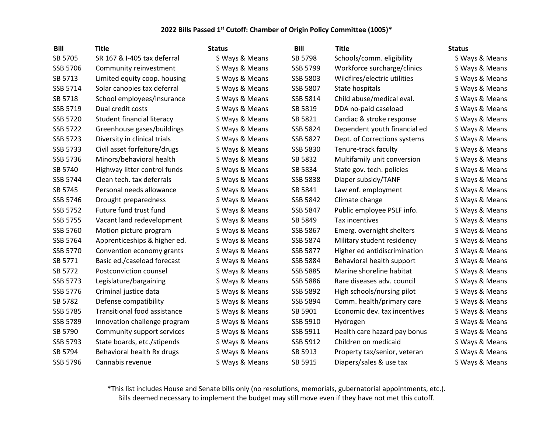| <b>Bill</b>     | <b>Title</b>                 | <b>Status</b>  | <b>Bill</b>     | <b>Title</b>                 | <b>Status</b>  |
|-----------------|------------------------------|----------------|-----------------|------------------------------|----------------|
| SB 5705         | SR 167 & I-405 tax deferral  | S Ways & Means | SB 5798         | Schools/comm. eligibility    | S Ways & Means |
| SSB 5706        | Community reinvestment       | S Ways & Means | SSB 5799        | Workforce surcharge/clinics  | S Ways & Means |
| SB 5713         | Limited equity coop. housing | S Ways & Means | SSB 5803        | Wildfires/electric utilities | S Ways & Means |
| SSB 5714        | Solar canopies tax deferral  | S Ways & Means | SSB 5807        | State hospitals              | S Ways & Means |
| SB 5718         | School employees/insurance   | S Ways & Means | SSB 5814        | Child abuse/medical eval.    | S Ways & Means |
| SSB 5719        | Dual credit costs            | S Ways & Means | SB 5819         | DDA no-paid caseload         | S Ways & Means |
| SSB 5720        | Student financial literacy   | S Ways & Means | SB 5821         | Cardiac & stroke response    | S Ways & Means |
| SSB 5722        | Greenhouse gases/buildings   | S Ways & Means | SSB 5824        | Dependent youth financial ed | S Ways & Means |
| SSB 5723        | Diversity in clinical trials | S Ways & Means | SSB 5827        | Dept. of Corrections systems | S Ways & Means |
| SSB 5733        | Civil asset forfeiture/drugs | S Ways & Means | SSB 5830        | Tenure-track faculty         | S Ways & Means |
| SSB 5736        | Minors/behavioral health     | S Ways & Means | SB 5832         | Multifamily unit conversion  | S Ways & Means |
| SB 5740         | Highway litter control funds | S Ways & Means | SB 5834         | State gov. tech. policies    | S Ways & Means |
| SSB 5744        | Clean tech. tax deferrals    | S Ways & Means | SSB 5838        | Diaper subsidy/TANF          | S Ways & Means |
| SB 5745         | Personal needs allowance     | S Ways & Means | SB 5841         | Law enf. employment          | S Ways & Means |
| SSB 5746        | Drought preparedness         | S Ways & Means | SSB 5842        | Climate change               | S Ways & Means |
| SSB 5752        | Future fund trust fund       | S Ways & Means | SSB 5847        | Public employee PSLF info.   | S Ways & Means |
| SSB 5755        | Vacant land redevelopment    | S Ways & Means | SB 5849         | Tax incentives               | S Ways & Means |
| SSB 5760        | Motion picture program       | S Ways & Means | SSB 5867        | Emerg. overnight shelters    | S Ways & Means |
| SSB 5764        | Apprenticeships & higher ed. | S Ways & Means | SSB 5874        | Military student residency   | S Ways & Means |
| SSB 5770        | Convention economy grants    | S Ways & Means | SSB 5877        | Higher ed antidiscrimination | S Ways & Means |
| SB 5771         | Basic ed./caseload forecast  | S Ways & Means | SSB 5884        | Behavioral health support    | S Ways & Means |
| SB 5772         | Postconviction counsel       | S Ways & Means | <b>SSB 5885</b> | Marine shoreline habitat     | S Ways & Means |
| SSB 5773        | Legislature/bargaining       | S Ways & Means | <b>SSB 5886</b> | Rare diseases adv. council   | S Ways & Means |
| SSB 5776        | Criminal justice data        | S Ways & Means | SSB 5892        | High schools/nursing pilot   | S Ways & Means |
| SB 5782         | Defense compatibility        | S Ways & Means | SSB 5894        | Comm. health/primary care    | S Ways & Means |
| SSB 5785        | Transitional food assistance | S Ways & Means | SB 5901         | Economic dev. tax incentives | S Ways & Means |
| SSB 5789        | Innovation challenge program | S Ways & Means | SSB 5910        | Hydrogen                     | S Ways & Means |
| SB 5790         | Community support services   | S Ways & Means | SSB 5911        | Health care hazard pay bonus | S Ways & Means |
| SSB 5793        | State boards, etc./stipends  | S Ways & Means | SSB 5912        | Children on medicaid         | S Ways & Means |
| SB 5794         | Behavioral health Rx drugs   | S Ways & Means | SB 5913         | Property tax/senior, veteran | S Ways & Means |
| <b>SSB 5796</b> | Cannabis revenue             | S Ways & Means | SB 5915         | Diapers/sales & use tax      | S Ways & Means |